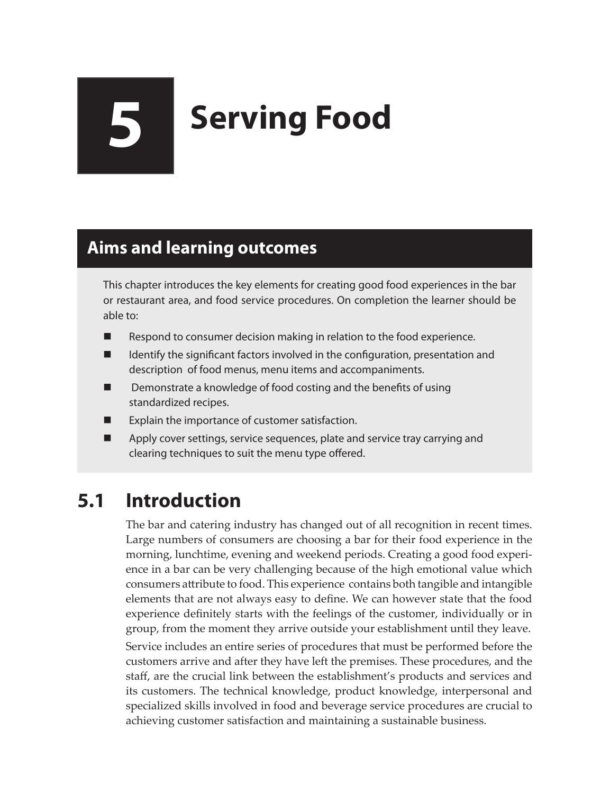# **5 Serving Food**

# **Aims and learning outcomes**

This chapter introduces the key elements for creating good food experiences in the bar or restaurant area, and food service procedures. On completion the learner should be able to:

- Respond to consumer decision making in relation to the food experience.
- **If** Identify the significant factors involved in the configuration, presentation and description of food menus, menu items and accompaniments.
- Demonstrate a knowledge of food costing and the benefits of using standardized recipes.
- Explain the importance of customer satisfaction.
- **Apply cover settings, service sequences, plate and service tray carrying and** clearing techniques to suit the menu type offered.

# **5.1 Introduction**

The bar and catering industry has changed out of all recognition in recent times. Large numbers of consumers are choosing a bar for their food experience in the morning, lunchtime, evening and weekend periods. Creating a good food experience in a bar can be very challenging because of the high emotional value which consumers attribute to food. This experience contains both tangible and intangible elements that are not always easy to define. We can however state that the food experience definitely starts with the feelings of the customer, individually or in group, from the moment they arrive outside your establishment until they leave. Service includes an entire series of procedures that must be performed before the customers arrive and after they have left the premises. These procedures, and the staff, are the crucial link between the establishment's products and services and its customers. The technical knowledge, product knowledge, interpersonal and specialized skills involved in food and beverage service procedures are crucial to achieving customer satisfaction and maintaining a sustainable business.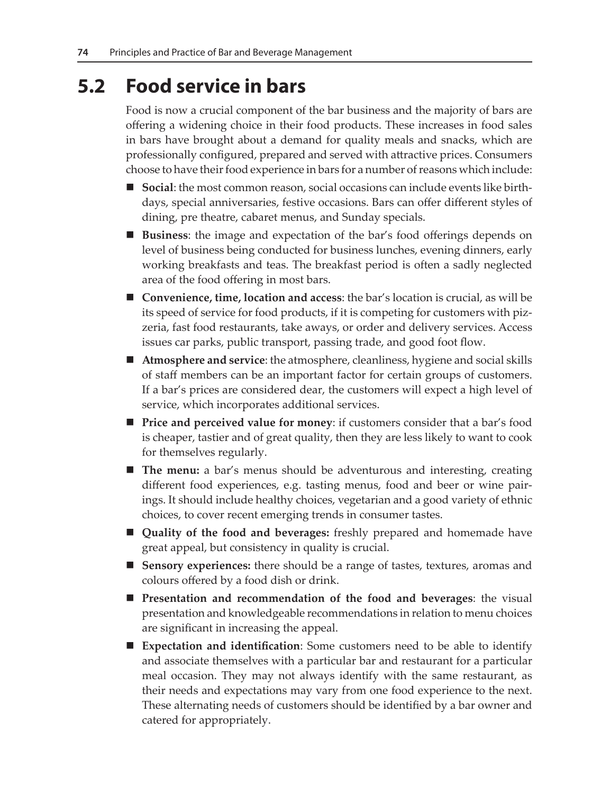# **5.2 Food service in bars**

Food is now a crucial component of the bar business and the majority of bars are offering a widening choice in their food products. These increases in food sales in bars have brought about a demand for quality meals and snacks, which are professionally configured, prepared and served with attractive prices. Consumers choose to have their food experience in bars for a number of reasons which include:

- **Social**: the most common reason, social occasions can include events like birthdays, special anniversaries, festive occasions. Bars can offer different styles of dining, pre theatre, cabaret menus, and Sunday specials.
- **Business**: the image and expectation of the bar's food offerings depends on level of business being conducted for business lunches, evening dinners, early working breakfasts and teas. The breakfast period is often a sadly neglected area of the food offering in most bars.
- **Convenience, time, location and access**: the bar's location is crucial, as will be its speed of service for food products, if it is competing for customers with pizzeria, fast food restaurants, take aways, or order and delivery services. Access issues car parks, public transport, passing trade, and good foot flow.
- **Atmosphere and service**: the atmosphere, cleanliness, hygiene and social skills of staff members can be an important factor for certain groups of customers. If a bar's prices are considered dear, the customers will expect a high level of service, which incorporates additional services.
- **Price and perceived value for money**: if customers consider that a bar's food is cheaper, tastier and of great quality, then they are less likely to want to cook for themselves regularly.
- **The menu:** a bar's menus should be adventurous and interesting, creating different food experiences, e.g. tasting menus, food and beer or wine pairings. It should include healthy choices, vegetarian and a good variety of ethnic choices, to cover recent emerging trends in consumer tastes.
- **Quality of the food and beverages:** freshly prepared and homemade have great appeal, but consistency in quality is crucial.
- **Sensory experiences:** there should be a range of tastes, textures, aromas and colours offered by a food dish or drink.
- **Presentation and recommendation of the food and beverages**: the visual presentation and knowledgeable recommendations in relation to menu choices are significant in increasing the appeal.
- **Expectation and identification**: Some customers need to be able to identify and associate themselves with a particular bar and restaurant for a particular meal occasion. They may not always identify with the same restaurant, as their needs and expectations may vary from one food experience to the next. These alternating needs of customers should be identified by a bar owner and catered for appropriately.